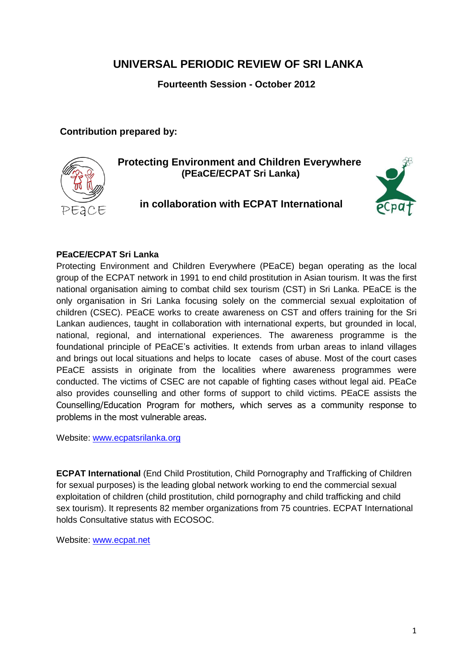# **UNIVERSAL PERIODIC REVIEW OF SRI LANKA**

**Fourteenth Session - October 2012**

**Contribution prepared by:**



**Protecting Environment and Children Everywhere (PEaCE/ECPAT Sri Lanka)**

## **in collaboration with ECPAT International**



### **PEaCE/ECPAT Sri Lanka**

Protecting Environment and Children Everywhere (PEaCE) began operating as the local group of the ECPAT network in 1991 to end child prostitution in Asian tourism. It was the first national organisation aiming to combat child sex tourism (CST) in Sri Lanka. PEaCE is the only organisation in Sri Lanka focusing solely on the commercial sexual exploitation of children (CSEC). PEaCE works to create awareness on CST and offers training for the Sri Lankan audiences, taught in collaboration with international experts, but grounded in local, national, regional, and international experiences. The awareness programme is the foundational principle of PEaCE"s activities. It extends from urban areas to inland villages and brings out local situations and helps to locate cases of abuse. Most of the court cases PEaCE assists in originate from the localities where awareness programmes were conducted. The victims of CSEC are not capable of fighting cases without legal aid. PEaCe also provides counselling and other forms of support to child victims. PEaCE assists the Counselling/Education Program for mothers, which serves as a community response to problems in the most vulnerable areas.

Website: [www.ecpatsrilanka.org](http://www.ecpatsrilanka.org/)

**ECPAT International** (End Child Prostitution, Child Pornography and Trafficking of Children for sexual purposes) is the leading global network working to end the commercial sexual exploitation of children (child prostitution, child pornography and child trafficking and child sex tourism). It represents 82 member organizations from 75 countries. ECPAT International holds Consultative status with ECOSOC.

Website: [www.ecpat.net](http://www.ecpat.net/)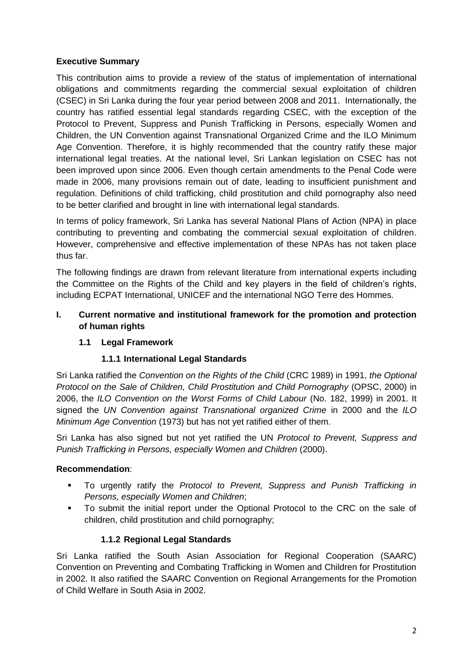### **Executive Summary**

This contribution aims to provide a review of the status of implementation of international obligations and commitments regarding the commercial sexual exploitation of children (CSEC) in Sri Lanka during the four year period between 2008 and 2011. Internationally, the country has ratified essential legal standards regarding CSEC, with the exception of the Protocol to Prevent, Suppress and Punish Trafficking in Persons, especially Women and Children, the UN Convention against Transnational Organized Crime and the ILO Minimum Age Convention. Therefore, it is highly recommended that the country ratify these major international legal treaties. At the national level, Sri Lankan legislation on CSEC has not been improved upon since 2006. Even though certain amendments to the Penal Code were made in 2006, many provisions remain out of date, leading to insufficient punishment and regulation. Definitions of child trafficking, child prostitution and child pornography also need to be better clarified and brought in line with international legal standards.

In terms of policy framework, Sri Lanka has several National Plans of Action (NPA) in place contributing to preventing and combating the commercial sexual exploitation of children. However, comprehensive and effective implementation of these NPAs has not taken place thus far.

The following findings are drawn from relevant literature from international experts including the Committee on the Rights of the Child and key players in the field of children"s rights, including ECPAT International, UNICEF and the international NGO Terre des Hommes.

### **I. Current normative and institutional framework for the promotion and protection of human rights**

### **1.1 Legal Framework**

### **1.1.1 International Legal Standards**

Sri Lanka ratified the *Convention on the Rights of the Child* (CRC 1989) in 1991, *the Optional Protocol on the Sale of Children, Child Prostitution and Child Pornography* (OPSC, 2000) in 2006, the *ILO Convention on the Worst Forms of Child Labour* (No. 182, 1999) in 2001. It signed the *UN Convention against Transnational organized Crime* in 2000 and the *ILO Minimum Age Convention* (1973) but has not yet ratified either of them.

Sri Lanka has also signed but not yet ratified the UN *Protocol to Prevent, Suppress and Punish Trafficking in Persons, especially Women and Children* (2000).

### **Recommendation**:

- To urgently ratify the *Protocol to Prevent, Suppress and Punish Trafficking in Persons, especially Women and Children*;
- To submit the initial report under the Optional Protocol to the CRC on the sale of children, child prostitution and child pornography;

### **1.1.2 Regional Legal Standards**

Sri Lanka ratified the South Asian Association for Regional Cooperation (SAARC) Convention on Preventing and Combating Trafficking in Women and Children for Prostitution in 2002. It also ratified the SAARC Convention on Regional Arrangements for the Promotion of Child Welfare in South Asia in 2002.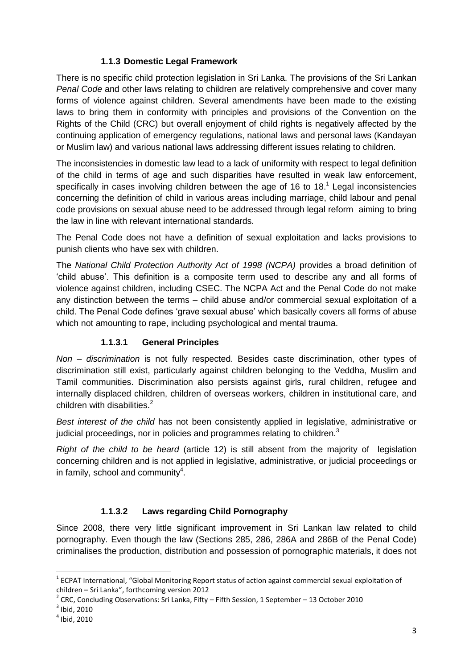### **1.1.3 Domestic Legal Framework**

There is no specific child protection legislation in Sri Lanka. The provisions of the Sri Lankan *Penal Code* and other laws relating to children are relatively comprehensive and cover many forms of violence against children. Several amendments have been made to the existing laws to bring them in conformity with principles and provisions of the Convention on the Rights of the Child (CRC) but overall enjoyment of child rights is negatively affected by the continuing application of emergency regulations, national laws and personal laws (Kandayan or Muslim law) and various national laws addressing different issues relating to children.

The inconsistencies in domestic law lead to a lack of uniformity with respect to legal definition of the child in terms of age and such disparities have resulted in weak law enforcement, specifically in cases involving children between the age of 16 to 18.<sup>1</sup> Legal inconsistencies concerning the definition of child in various areas including marriage, child labour and penal code provisions on sexual abuse need to be addressed through legal reform aiming to bring the law in line with relevant international standards.

The Penal Code does not have a definition of sexual exploitation and lacks provisions to punish clients who have sex with children.

The *National Child Protection Authority Act of 1998 (NCPA)* provides a broad definition of "child abuse". This definition is a composite term used to describe any and all forms of violence against children, including CSEC. The NCPA Act and the Penal Code do not make any distinction between the terms – child abuse and/or commercial sexual exploitation of a child. The Penal Code defines "grave sexual abuse" which basically covers all forms of abuse which not amounting to rape, including psychological and mental trauma.

### **1.1.3.1 General Principles**

*Non – discrimination* is not fully respected. Besides caste discrimination, other types of discrimination still exist, particularly against children belonging to the Veddha, Muslim and Tamil communities. Discrimination also persists against girls, rural children, refugee and internally displaced children, children of overseas workers, children in institutional care, and children with disabilities. $2<sup>2</sup>$ 

*Best interest of the child* has not been consistently applied in legislative, administrative or judicial proceedings, nor in policies and programmes relating to children.<sup>3</sup>

*Right of the child to be heard* (article 12) is still absent from the majority of legislation concerning children and is not applied in legislative, administrative, or judicial proceedings or in family, school and community $^4$ .

### **1.1.3.2 Laws regarding Child Pornography**

Since 2008, there very little significant improvement in Sri Lankan law related to child pornography. Even though the law (Sections 285, 286, 286A and 286B of the Penal Code) criminalises the production, distribution and possession of pornographic materials, it does not

 $\overline{\phantom{a}}$ 

 $^{1}$  ECPAT International, "Global Monitoring Report status of action against commercial sexual exploitation of children – Sri Lanka", forthcoming version 2012

 $^{2}$  CRC, Concluding Observations: Sri Lanka, Fifty – Fifth Session, 1 September – 13 October 2010

 $3$  Ibid, 2010

<sup>4</sup> Ibid, 2010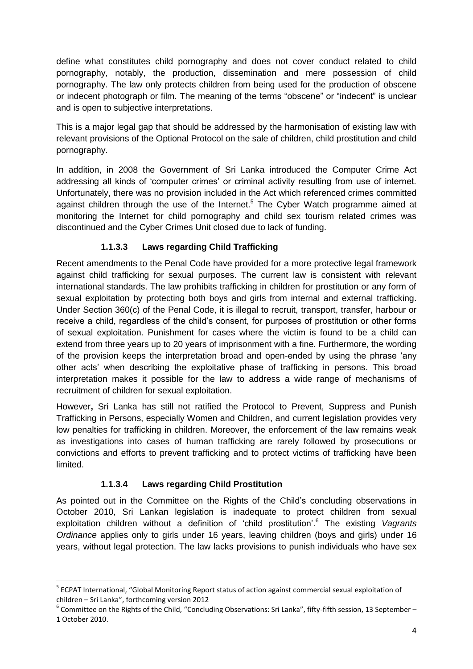define what constitutes child pornography and does not cover conduct related to child pornography, notably, the production, dissemination and mere possession of child pornography. The law only protects children from being used for the production of obscene or indecent photograph or film. The meaning of the terms "obscene" or "indecent" is unclear and is open to subjective interpretations.

This is a major legal gap that should be addressed by the harmonisation of existing law with relevant provisions of the Optional Protocol on the sale of children, child prostitution and child pornography.

In addition, in 2008 the Government of Sri Lanka introduced the Computer Crime Act addressing all kinds of "computer crimes" or criminal activity resulting from use of internet. Unfortunately, there was no provision included in the Act which referenced crimes committed against children through the use of the Internet.<sup>5</sup> The Cyber Watch programme aimed at monitoring the Internet for child pornography and child sex tourism related crimes was discontinued and the Cyber Crimes Unit closed due to lack of funding.

### **1.1.3.3 Laws regarding Child Trafficking**

Recent amendments to the Penal Code have provided for a more protective legal framework against child trafficking for sexual purposes. The current law is consistent with relevant international standards. The law prohibits trafficking in children for prostitution or any form of sexual exploitation by protecting both boys and girls from internal and external trafficking. Under Section 360(c) of the Penal Code, it is illegal to recruit, transport, transfer, harbour or receive a child, regardless of the child"s consent, for purposes of prostitution or other forms of sexual exploitation. Punishment for cases where the victim is found to be a child can extend from three years up to 20 years of imprisonment with a fine. Furthermore, the wording of the provision keeps the interpretation broad and open-ended by using the phrase "any other acts" when describing the exploitative phase of trafficking in persons. This broad interpretation makes it possible for the law to address a wide range of mechanisms of recruitment of children for sexual exploitation.

However**,** Sri Lanka has still not ratified the Protocol to Prevent, Suppress and Punish Trafficking in Persons, especially Women and Children, and current legislation provides very low penalties for trafficking in children. Moreover, the enforcement of the law remains weak as investigations into cases of human trafficking are rarely followed by prosecutions or convictions and efforts to prevent trafficking and to protect victims of trafficking have been limited.

### **1.1.3.4 Laws regarding Child Prostitution**

 $\overline{\phantom{a}}$ 

As pointed out in the Committee on the Rights of the Child"s concluding observations in October 2010, Sri Lankan legislation is inadequate to protect children from sexual exploitation children without a definition of "child prostitution".<sup>6</sup> The existing *Vagrants Ordinance* applies only to girls under 16 years, leaving children (boys and girls) under 16 years, without legal protection. The law lacks provisions to punish individuals who have sex

<sup>&</sup>lt;sup>5</sup> ECPAT International, "Global Monitoring Report status of action against commercial sexual exploitation of children – Sri Lanka", forthcoming version 2012

 $^6$  Committee on the Rights of the Child, "Concluding Observations: Sri Lanka", fifty-fifth session, 13 September – 1 October 2010.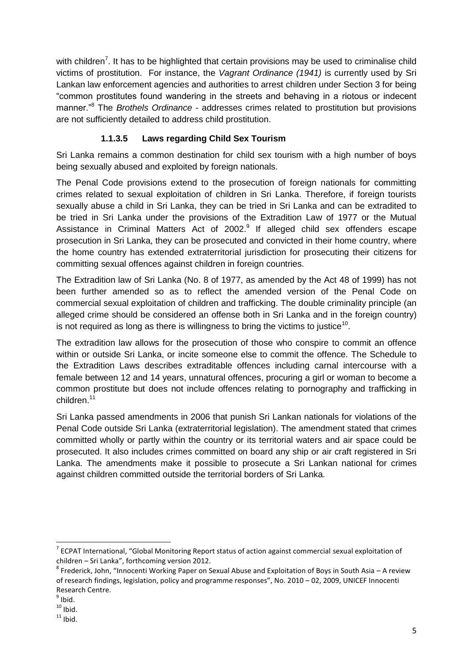with children<sup>7</sup>. It has to be highlighted that certain provisions may be used to criminalise child victims of prostitution. For instance, the *Vagrant Ordinance (1941)* is currently used by Sri Lankan law enforcement agencies and authorities to arrest children under Section 3 for being "common prostitutes found wandering in the streets and behaving in a riotous or indecent manner."<sup>8</sup> The *Brothels Ordinance -* addresses crimes related to prostitution but provisions are not sufficiently detailed to address child prostitution.

### **1.1.3.5 Laws regarding Child Sex Tourism**

Sri Lanka remains a common destination for child sex tourism with a high number of boys being sexually abused and exploited by foreign nationals.

The Penal Code provisions extend to the prosecution of foreign nationals for committing crimes related to sexual exploitation of children in Sri Lanka. Therefore, if foreign tourists sexually abuse a child in Sri Lanka, they can be tried in Sri Lanka and can be extradited to be tried in Sri Lanka under the provisions of the Extradition Law of 1977 or the Mutual Assistance in Criminal Matters Act of 2002.<sup>9</sup> If alleged child sex offenders escape prosecution in Sri Lanka, they can be prosecuted and convicted in their home country, where the home country has extended extraterritorial jurisdiction for prosecuting their citizens for committing sexual offences against children in foreign countries.

The Extradition law of Sri Lanka (No. 8 of 1977, as amended by the Act 48 of 1999) has not been further amended so as to reflect the amended version of the Penal Code on commercial sexual exploitation of children and trafficking. The double criminality principle (an alleged crime should be considered an offense both in Sri Lanka and in the foreign country) is not required as long as there is willingness to bring the victims to justice $^{\rm 10}.$ 

The extradition law allows for the prosecution of those who conspire to commit an offence within or outside Sri Lanka, or incite someone else to commit the offence. The Schedule to the Extradition Laws describes extraditable offences including carnal intercourse with a female between 12 and 14 years, unnatural offences, procuring a girl or woman to become a common prostitute but does not include offences relating to pornography and trafficking in children.<sup>11</sup>

Sri Lanka passed amendments in 2006 that punish Sri Lankan nationals for violations of the Penal Code outside Sri Lanka (extraterritorial legislation). The amendment stated that crimes committed wholly or partly within the country or its territorial waters and air space could be prosecuted. It also includes crimes committed on board any ship or air craft registered in Sri Lanka. The amendments make it possible to prosecute a Sri Lankan national for crimes against children committed outside the territorial borders of Sri Lanka.

 $\overline{\phantom{a}}$ 

 $^7$  ECPAT International, "Global Monitoring Report status of action against commercial sexual exploitation of children – Sri Lanka", forthcoming version 2012.

 $^8$  Frederick, John, "Innocenti Working Paper on Sexual Abuse and Exploitation of Boys in South Asia – A review of research findings, legislation, policy and programme responses", No. 2010 – 02, 2009, UNICEF Innocenti Research Centre.

 $<sup>9</sup>$  Ibid.</sup>

 $10$  Ibid.

 $11$  Ibid.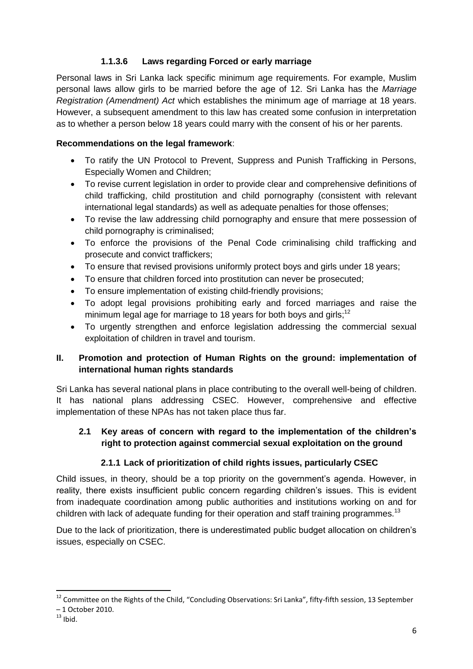### **1.1.3.6 Laws regarding Forced or early marriage**

Personal laws in Sri Lanka lack specific minimum age requirements. For example, Muslim personal laws allow girls to be married before the age of 12. Sri Lanka has the *Marriage Registration (Amendment) Act* which establishes the minimum age of marriage at 18 years. However, a subsequent amendment to this law has created some confusion in interpretation as to whether a person below 18 years could marry with the consent of his or her parents.

### **Recommendations on the legal framework**:

- To ratify the UN Protocol to Prevent, Suppress and Punish Trafficking in Persons, Especially Women and Children;
- To revise current legislation in order to provide clear and comprehensive definitions of child trafficking, child prostitution and child pornography (consistent with relevant international legal standards) as well as adequate penalties for those offenses;
- To revise the law addressing child pornography and ensure that mere possession of child pornography is criminalised;
- To enforce the provisions of the Penal Code criminalising child trafficking and prosecute and convict traffickers;
- To ensure that revised provisions uniformly protect boys and girls under 18 years;
- To ensure that children forced into prostitution can never be prosecuted;
- To ensure implementation of existing child-friendly provisions;
- To adopt legal provisions prohibiting early and forced marriages and raise the minimum legal age for marriage to 18 years for both boys and girls;<sup>12</sup>
- To urgently strengthen and enforce legislation addressing the commercial sexual exploitation of children in travel and tourism.

### **II. Promotion and protection of Human Rights on the ground: implementation of international human rights standards**

Sri Lanka has several national plans in place contributing to the overall well-being of children. It has national plans addressing CSEC. However, comprehensive and effective implementation of these NPAs has not taken place thus far.

### **2.1 Key areas of concern with regard to the implementation of the children's right to protection against commercial sexual exploitation on the ground**

### **2.1.1 Lack of prioritization of child rights issues, particularly CSEC**

Child issues, in theory, should be a top priority on the government"s agenda. However, in reality, there exists insufficient public concern regarding children's issues. This is evident from inadequate coordination among public authorities and institutions working on and for children with lack of adequate funding for their operation and staff training programmes.<sup>13</sup>

Due to the lack of prioritization, there is underestimated public budget allocation on children"s issues, especially on CSEC.

 $\overline{\phantom{a}}$ <sup>12</sup> Committee on the Rights of the Child, "Concluding Observations: Sri Lanka", fifty-fifth session, 13 September

<sup>–</sup> 1 October 2010.

 $13$  Ibid.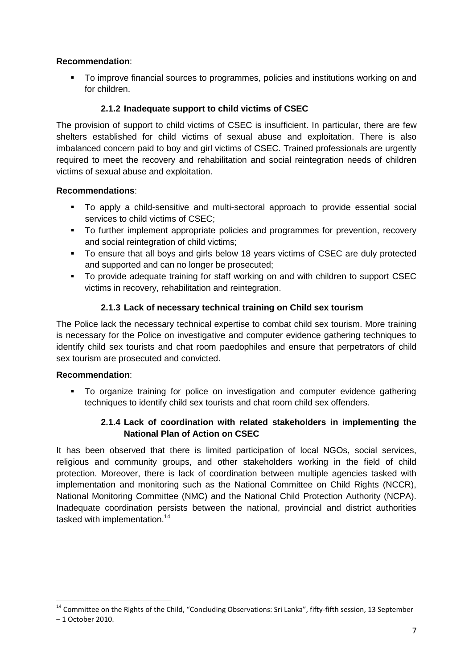### **Recommendation**:

 To improve financial sources to programmes, policies and institutions working on and for children.

### **2.1.2 Inadequate support to child victims of CSEC**

The provision of support to child victims of CSEC is insufficient. In particular, there are few shelters established for child victims of sexual abuse and exploitation. There is also imbalanced concern paid to boy and girl victims of CSEC. Trained professionals are urgently required to meet the recovery and rehabilitation and social reintegration needs of children victims of sexual abuse and exploitation.

### **Recommendations**:

- To apply a child-sensitive and multi-sectoral approach to provide essential social services to child victims of CSEC;
- To further implement appropriate policies and programmes for prevention, recovery and social reintegration of child victims;
- To ensure that all boys and girls below 18 years victims of CSEC are duly protected and supported and can no longer be prosecuted;
- To provide adequate training for staff working on and with children to support CSEC victims in recovery, rehabilitation and reintegration.

### **2.1.3 Lack of necessary technical training on Child sex tourism**

The Police lack the necessary technical expertise to combat child sex tourism. More training is necessary for the Police on investigative and computer evidence gathering techniques to identify child sex tourists and chat room paedophiles and ensure that perpetrators of child sex tourism are prosecuted and convicted.

### **Recommendation**:

 $\overline{a}$ 

 To organize training for police on investigation and computer evidence gathering techniques to identify child sex tourists and chat room child sex offenders.

### **2.1.4 Lack of coordination with related stakeholders in implementing the National Plan of Action on CSEC**

It has been observed that there is limited participation of local NGOs, social services, religious and community groups, and other stakeholders working in the field of child protection. Moreover, there is lack of coordination between multiple agencies tasked with implementation and monitoring such as the National Committee on Child Rights (NCCR), National Monitoring Committee (NMC) and the National Child Protection Authority (NCPA). Inadequate coordination persists between the national, provincial and district authorities tasked with implementation.<sup>14</sup>

<sup>&</sup>lt;sup>14</sup> Committee on the Rights of the Child, "Concluding Observations: Sri Lanka", fifty-fifth session, 13 September – 1 October 2010.